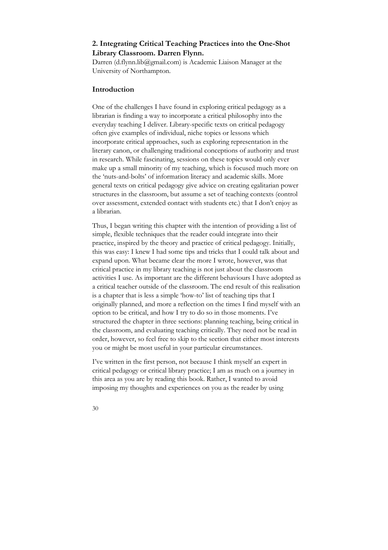# **2. Integrating Critical Teaching Practices into the One-Shot Library Classroom. Darren Flynn.**

Darren (d.flynn.lib@gmail.com) is Academic Liaison Manager at the University of Northampton.

## **Introduction**

One of the challenges I have found in exploring critical pedagogy as a librarian is finding a way to incorporate a critical philosophy into the everyday teaching I deliver. Library-specific texts on critical pedagogy often give examples of individual, niche topics or lessons which incorporate critical approaches, such as exploring representation in the literary canon, or challenging traditional conceptions of authority and trust in research. While fascinating, sessions on these topics would only ever make up a small minority of my teaching, which is focused much more on the 'nuts-and-bolts' of information literacy and academic skills. More general texts on critical pedagogy give advice on creating egalitarian power structures in the classroom, but assume a set of teaching contexts (control over assessment, extended contact with students etc.) that I don't enjoy as a librarian.

Thus, I began writing this chapter with the intention of providing a list of simple, flexible techniques that the reader could integrate into their practice, inspired by the theory and practice of critical pedagogy. Initially, this was easy: I knew I had some tips and tricks that I could talk about and expand upon. What became clear the more I wrote, however, was that critical practice in my library teaching is not just about the classroom activities I use. As important are the different behaviours I have adopted as a critical teacher outside of the classroom. The end result of this realisation is a chapter that is less a simple 'how-to' list of teaching tips that I originally planned, and more a reflection on the times I find myself with an option to be critical, and how I try to do so in those moments. I've structured the chapter in three sections: planning teaching, being critical in the classroom, and evaluating teaching critically. They need not be read in order, however, so feel free to skip to the section that either most interests you or might be most useful in your particular circumstances.

I've written in the first person, not because I think myself an expert in critical pedagogy or critical library practice; I am as much on a journey in this area as you are by reading this book. Rather, I wanted to avoid imposing my thoughts and experiences on you as the reader by using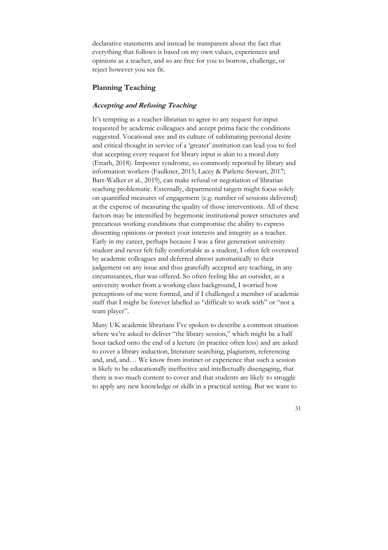declarative statements and instead be transparent about the fact that everything that follows is based on my own values, experiences and opinions as a teacher, and so are free for you to borrow, challenge, or reject however you see fit.

### **Planning Teaching**

### **Accepting and Refusing Teaching**

It's tempting as a teacher-librarian to agree to any request for input requested by academic colleagues and accept prima facie the conditions suggested. Vocational awe and its culture of sublimating personal desire and critical thought in service of a 'greater' institution can lead you to feel that accepting every request for library input is akin to a moral duty (Ettarh, 2018). Imposter syndrome, so commonly reported by library and information workers (Faulkner, 2015; Lacey & Parlette-Stewart, 2017; Barr-Walker et al., 2019), can make refusal or negotiation of librarian teaching problematic. Externally, departmental targets might focus solely on quantified measures of engagement (e.g. number of sessions delivered) at the expense of measuring the quality of those interventions. All of these factors may be intensified by hegemonic institutional power structures and precarious working conditions that compromise the ability to express dissenting opinions or protect your interests and integrity as a teacher. Early in my career, perhaps because I was a first generation university student and never felt fully comfortable as a student, I often felt overawed by academic colleagues and deferred almost automatically to their judgement on any issue and thus gratefully accepted any teaching, in any circumstances, that was offered. So often feeling like an outsider, as a university worker from a working class background, I worried how perceptions of me were formed, and if I challenged a member of academic staff that I might be forever labelled as "difficult to work with" or "not a team player".

Many UK academic librarians I've spoken to describe a common situation where we're asked to deliver "the library session," which might be a half hour tacked onto the end of a lecture (in practice often less) and are asked to cover a library induction, literature searching, plagiarism, referencing and, and, and… We know from instinct or experience that such a session is likely to be educationally ineffective and intellectually disengaging, that there is too much content to cover and that students are likely to struggle to apply any new knowledge or skills in a practical setting. But we want to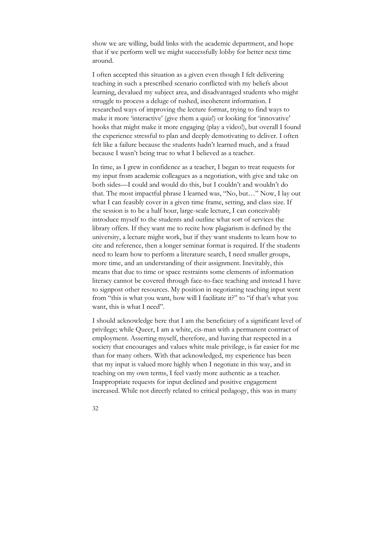show we are willing, build links with the academic department, and hope that if we perform well we might successfully lobby for better next time around.

I often accepted this situation as a given even though I felt delivering teaching in such a prescribed scenario conflicted with my beliefs about learning, devalued my subject area, and disadvantaged students who might struggle to process a deluge of rushed, incoherent information. I researched ways of improving the lecture format, trying to find ways to make it more 'interactive' (give them a quiz!) or looking for 'innovative' hooks that might make it more engaging (play a video!), but overall I found the experience stressful to plan and deeply demotivating to deliver. I often felt like a failure because the students hadn't learned much, and a fraud because I wasn't being true to what I believed as a teacher.

In time, as I grew in confidence as a teacher, I began to treat requests for my input from academic colleagues as a negotiation, with give and take on both sides—I could and would do this, but I couldn't and wouldn't do that. The most impactful phrase I learned was, "No, but…" Now, I lay out what I can feasibly cover in a given time frame, setting, and class size. If the session is to be a half hour, large-scale lecture, I can conceivably introduce myself to the students and outline what sort of services the library offers. If they want me to recite how plagiarism is defined by the university, a lecture might work, but if they want students to learn how to cite and reference, then a longer seminar format is required. If the students need to learn how to perform a literature search, I need smaller groups, more time, and an understanding of their assignment. Inevitably, this means that due to time or space restraints some elements of information literacy cannot be covered through face-to-face teaching and instead I have to signpost other resources. My position in negotiating teaching input went from "this is what you want, how will I facilitate it?" to "if that's what you want, this is what I need".

I should acknowledge here that I am the beneficiary of a significant level of privilege; while Queer, I am a white, cis-man with a permanent contract of employment. Asserting myself, therefore, and having that respected in a society that encourages and values white male privilege, is far easier for me than for many others. With that acknowledged, my experience has been that my input is valued more highly when I negotiate in this way, and in teaching on my own terms, I feel vastly more authentic as a teacher. Inappropriate requests for input declined and positive engagement increased. While not directly related to critical pedagogy, this was in many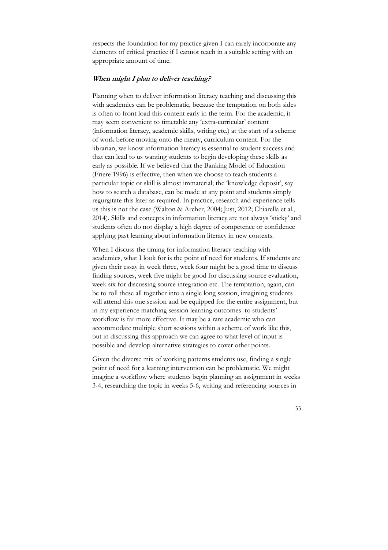respects the foundation for my practice given I can rarely incorporate any elements of critical practice if I cannot teach in a suitable setting with an appropriate amount of time.

#### **When might I plan to deliver teaching?**

Planning when to deliver information literacy teaching and discussing this with academics can be problematic, because the temptation on both sides is often to front load this content early in the term. For the academic, it may seem convenient to timetable any 'extra-curricular' content (information literacy, academic skills, writing etc.) at the start of a scheme of work before moving onto the meaty, curriculum content. For the librarian, we know information literacy is essential to student success and that can lead to us wanting students to begin developing these skills as early as possible. If we believed that the Banking Model of Education (Friere 1996) is effective, then when we choose to teach students a particular topic or skill is almost immaterial; the 'knowledge deposit', say how to search a database, can be made at any point and students simply regurgitate this later as required. In practice, research and experience tells us this is not the case (Walton & Archer, 2004; Just, 2012; Chiarella et al., 2014). Skills and concepts in information literacy are not always 'sticky' and students often do not display a high degree of competence or confidence applying past learning about information literacy in new contexts.

When I discuss the timing for information literacy teaching with academics, what I look for is the point of need for students. If students are given their essay in week three, week four might be a good time to discuss finding sources, week five might be good for discussing source evaluation, week six for discussing source integration etc. The temptation, again, can be to roll these all together into a single long session, imagining students will attend this one session and be equipped for the entire assignment, but in my experience matching session learning outcomes to students' workflow is far more effective. It may be a rare academic who can accommodate multiple short sessions within a scheme of work like this, but in discussing this approach we can agree to what level of input is possible and develop alternative strategies to cover other points.

Given the diverse mix of working patterns students use, finding a single point of need for a learning intervention can be problematic. We might imagine a workflow where students begin planning an assignment in weeks 3-4, researching the topic in weeks 5-6, writing and referencing sources in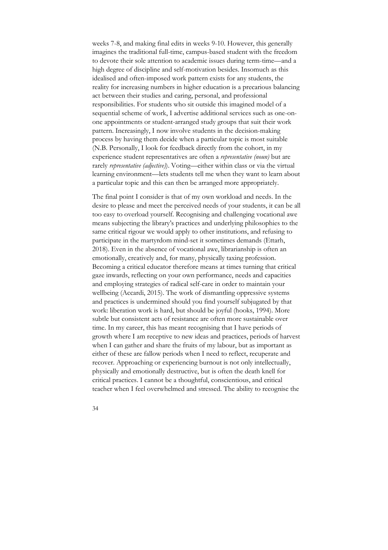weeks 7-8, and making final edits in weeks 9-10. However, this generally imagines the traditional full-time, campus-based student with the freedom to devote their sole attention to academic issues during term-time—and a high degree of discipline and self-motivation besides. Insomuch as this idealised and often-imposed work pattern exists for any students, the reality for increasing numbers in higher education is a precarious balancing act between their studies and caring, personal, and professional responsibilities. For students who sit outside this imagined model of a sequential scheme of work, I advertise additional services such as one-onone appointments or student-arranged study groups that suit their work pattern. Increasingly, I now involve students in the decision-making process by having them decide when a particular topic is most suitable (N.B. Personally, I look for feedback directly from the cohort, in my experience student representatives are often a *representative (noun)* but are rarely *representative (adjective)*). Voting—either within class or via the virtual learning environment—lets students tell me when they want to learn about a particular topic and this can then be arranged more appropriately.

The final point I consider is that of my own workload and needs. In the desire to please and meet the perceived needs of your students, it can be all too easy to overload yourself. Recognising and challenging vocational awe means subjecting the library's practices and underlying philosophies to the same critical rigour we would apply to other institutions, and refusing to participate in the martyrdom mind-set it sometimes demands (Ettarh, 2018). Even in the absence of vocational awe, librarianship is often an emotionally, creatively and, for many, physically taxing profession. Becoming a critical educator therefore means at times turning that critical gaze inwards, reflecting on your own performance, needs and capacities and employing strategies of radical self-care in order to maintain your wellbeing (Accardi, 2015). The work of dismantling oppressive systems and practices is undermined should you find yourself subjugated by that work: liberation work is hard, but should be joyful (hooks, 1994). More subtle but consistent acts of resistance are often more sustainable over time. In my career, this has meant recognising that I have periods of growth where I am receptive to new ideas and practices, periods of harvest when I can gather and share the fruits of my labour, but as important as either of these are fallow periods when I need to reflect, recuperate and recover. Approaching or experiencing burnout is not only intellectually, physically and emotionally destructive, but is often the death knell for critical practices. I cannot be a thoughtful, conscientious, and critical teacher when I feel overwhelmed and stressed. The ability to recognise the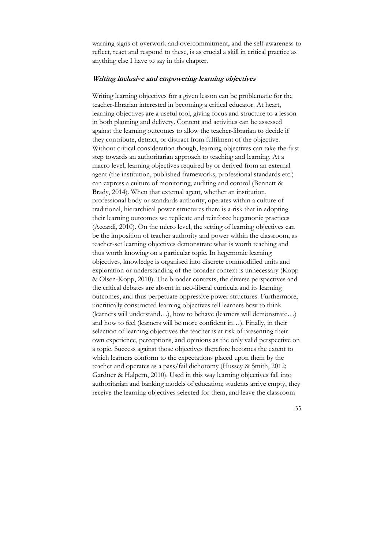warning signs of overwork and overcommitment, and the self-awareness to reflect, react and respond to these, is as crucial a skill in critical practice as anything else I have to say in this chapter.

#### **Writing inclusive and empowering learning objectives**

Writing learning objectives for a given lesson can be problematic for the teacher-librarian interested in becoming a critical educator. At heart, learning objectives are a useful tool, giving focus and structure to a lesson in both planning and delivery. Content and activities can be assessed against the learning outcomes to allow the teacher-librarian to decide if they contribute, detract, or distract from fulfilment of the objective. Without critical consideration though, learning objectives can take the first step towards an authoritarian approach to teaching and learning. At a macro level, learning objectives required by or derived from an external agent (the institution, published frameworks, professional standards etc.) can express a culture of monitoring, auditing and control (Bennett & Brady, 2014). When that external agent, whether an institution, professional body or standards authority, operates within a culture of traditional, hierarchical power structures there is a risk that in adopting their learning outcomes we replicate and reinforce hegemonic practices (Accardi, 2010). On the micro level, the setting of learning objectives can be the imposition of teacher authority and power within the classroom, as teacher-set learning objectives demonstrate what is worth teaching and thus worth knowing on a particular topic. In hegemonic learning objectives, knowledge is organised into discrete commodified units and exploration or understanding of the broader context is unnecessary (Kopp & Olsen-Kopp, 2010). The broader contexts, the diverse perspectives and the critical debates are absent in neo-liberal curricula and its learning outcomes, and thus perpetuate oppressive power structures. Furthermore, uncritically constructed learning objectives tell learners how to think (learners will understand…), how to behave (learners will demonstrate…) and how to feel (learners will be more confident in…). Finally, in their selection of learning objectives the teacher is at risk of presenting their own experience, perceptions, and opinions as the only valid perspective on a topic. Success against those objectives therefore becomes the extent to which learners conform to the expectations placed upon them by the teacher and operates as a pass/fail dichotomy (Hussey & Smith, 2012; Gardner & Halpern, 2010). Used in this way learning objectives fall into authoritarian and banking models of education; students arrive empty, they receive the learning objectives selected for them, and leave the classroom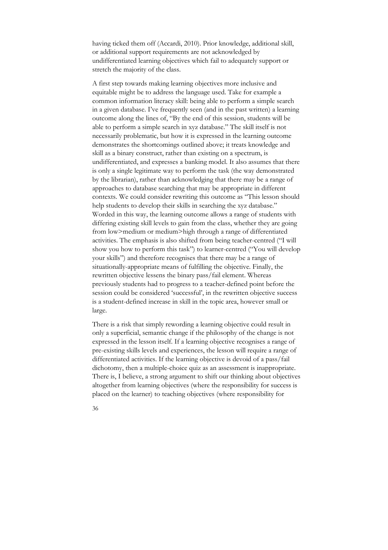having ticked them off (Accardi, 2010). Prior knowledge, additional skill, or additional support requirements are not acknowledged by undifferentiated learning objectives which fail to adequately support or stretch the majority of the class.

A first step towards making learning objectives more inclusive and equitable might be to address the language used. Take for example a common information literacy skill: being able to perform a simple search in a given database. I've frequently seen (and in the past written) a learning outcome along the lines of, "By the end of this session, students will be able to perform a simple search in xyz database." The skill itself is not necessarily problematic, but how it is expressed in the learning outcome demonstrates the shortcomings outlined above; it treats knowledge and skill as a binary construct, rather than existing on a spectrum, is undifferentiated, and expresses a banking model. It also assumes that there is only a single legitimate way to perform the task (the way demonstrated by the librarian), rather than acknowledging that there may be a range of approaches to database searching that may be appropriate in different contexts. We could consider rewriting this outcome as "This lesson should help students to develop their skills in searching the xyz database." Worded in this way, the learning outcome allows a range of students with differing existing skill levels to gain from the class, whether they are going from low>medium or medium>high through a range of differentiated activities. The emphasis is also shifted from being teacher-centred ("I will show you how to perform this task") to learner-centred ("You will develop your skills") and therefore recognises that there may be a range of situationally-appropriate means of fulfilling the objective. Finally, the rewritten objective lessens the binary pass/fail element. Whereas previously students had to progress to a teacher-defined point before the session could be considered 'successful', in the rewritten objective success is a student-defined increase in skill in the topic area, however small or large.

There is a risk that simply rewording a learning objective could result in only a superficial, semantic change if the philosophy of the change is not expressed in the lesson itself. If a learning objective recognises a range of pre-existing skills levels and experiences, the lesson will require a range of differentiated activities. If the learning objective is devoid of a pass/fail dichotomy, then a multiple-choice quiz as an assessment is inappropriate. There is, I believe, a strong argument to shift our thinking about objectives altogether from learning objectives (where the responsibility for success is placed on the learner) to teaching objectives (where responsibility for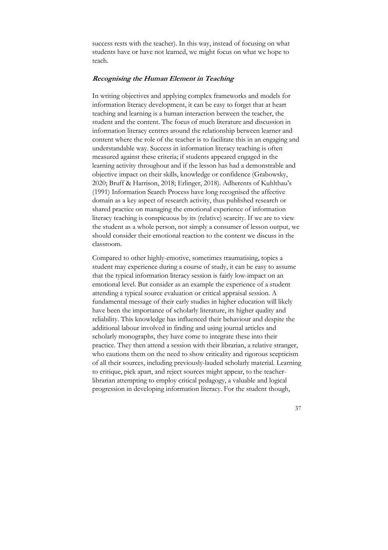success rests with the teacher). In this way, instead of focusing on what students have or have not learned, we might focus on what we hope to teach.

#### **Recognising the Human Element in Teaching**

In writing objectives and applying complex frameworks and models for information literacy development, it can be easy to forget that at heart teaching and learning is a human interaction between the teacher, the student and the content. The focus of much literature and discussion in information literacy centres around the relationship between learner and content where the role of the teacher is to facilitate this in an engaging and understandable way. Success in information literacy teaching is often measured against these criteria; if students appeared engaged in the learning activity throughout and if the lesson has had a demonstrable and objective impact on their skills, knowledge or confidence (Grabowsky, 2020; Bruff & Harrison, 2018; Erlinger, 2018). Adherents of Kuhlthau's (1991) Information Search Process have long recognised the affective domain as a key aspect of research activity, thus published research or shared practice on managing the emotional experience of information literacy teaching is conspicuous by its (relative) scarcity. If we are to view the student as a whole person, not simply a consumer of lesson output, we should consider their emotional reaction to the content we discuss in the classroom.

Compared to other highly-emotive, sometimes traumatising, topics a student may experience during a course of study, it can be easy to assume that the typical information literacy session is fairly low-impact on an emotional level. But consider as an example the experience of a student attending a typical source evaluation or critical appraisal session. A fundamental message of their early studies in higher education will likely have been the importance of scholarly literature, its higher quality and reliability. This knowledge has influenced their behaviour and despite the additional labour involved in finding and using journal articles and scholarly monographs, they have come to integrate these into their practice. They then attend a session with their librarian, a relative stranger, who cautions them on the need to show criticality and rigorous scepticism of all their sources, including previously-lauded scholarly material. Learning to critique, pick apart, and reject sources might appear, to the teacherlibrarian attempting to employ critical pedagogy, a valuable and logical progression in developing information literacy. For the student though,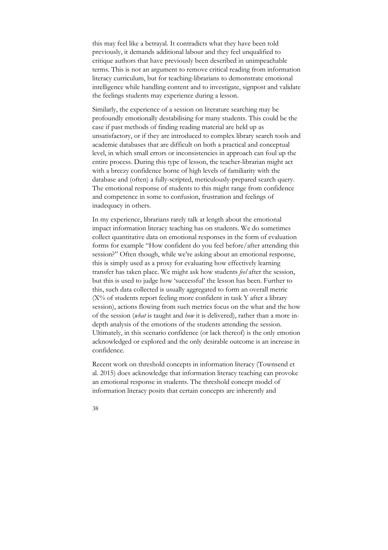this may feel like a betrayal. It contradicts what they have been told previously, it demands additional labour and they feel unqualified to critique authors that have previously been described in unimpeachable terms. This is not an argument to remove critical reading from information literacy curriculum, but for teaching-librarians to demonstrate emotional intelligence while handling content and to investigate, signpost and validate the feelings students may experience during a lesson.

Similarly, the experience of a session on literature searching may be profoundly emotionally destabilising for many students. This could be the case if past methods of finding reading material are held up as unsatisfactory, or if they are introduced to complex library search tools and academic databases that are difficult on both a practical and conceptual level, in which small errors or inconsistencies in approach can foul up the entire process. During this type of lesson, the teacher-librarian might act with a breezy confidence borne of high levels of familiarity with the database and (often) a fully-scripted, meticulously-prepared search query. The emotional response of students to this might range from confidence and competence in some to confusion, frustration and feelings of inadequacy in others.

In my experience, librarians rarely talk at length about the emotional impact information literacy teaching has on students. We do sometimes collect quantitative data on emotional responses in the form of evaluation forms for example "How confident do you feel before/after attending this session?" Often though, while we're asking about an emotional response, this is simply used as a proxy for evaluating how effectively learning transfer has taken place. We might ask how students *feel* after the session, but this is used to judge how 'successful' the lesson has been. Further to this, such data collected is usually aggregated to form an overall metric  $(X<sup>9</sup>$  of students report feeling more confident in task Y after a library session), actions flowing from such metrics focus on the what and the how of the session (*what* is taught and *how* it is delivered), rather than a more indepth analysis of the emotions of the students attending the session. Ultimately, in this scenario confidence (or lack thereof) is the only emotion acknowledged or explored and the only desirable outcome is an increase in confidence.

Recent work on threshold concepts in information literacy (Townsend et al. 2015) does acknowledge that information literacy teaching can provoke an emotional response in students. The threshold concept model of information literacy posits that certain concepts are inherently and

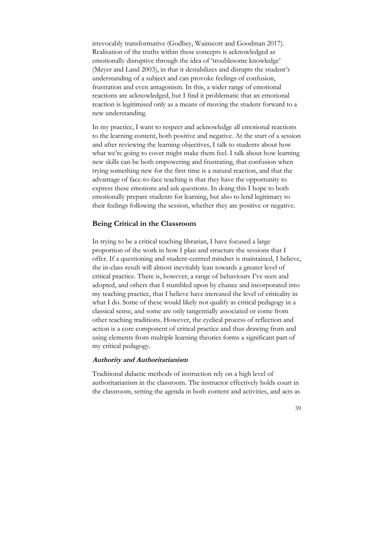irrevocably transformative (Godbey, Wainscott and Goodman 2017). Realisation of the truths within these concepts is acknowledged as emotionally disruptive through the idea of 'troublesome knowledge' (Meyer and Land 2003), in that it destabilizes and disrupts the student's understanding of a subject and can provoke feelings of confusion, frustration and even antagonism. In this, a wider range of emotional reactions are acknowledged, but I find it problematic that an emotional reaction is legitimised only as a means of moving the student forward to a new understanding.

In my practice, I want to respect and acknowledge all emotional reactions to the learning content, both positive and negative. At the start of a session and after reviewing the learning objectives, I talk to students about how what we're going to cover might make them feel. I talk about how learning new skills can be both empowering and frustrating, that confusion when trying something new for the first time is a natural reaction, and that the advantage of face-to-face teaching is that they have the opportunity to express these emotions and ask questions. In doing this I hope to both emotionally prepare students for learning, but also to lend legitimacy to their feelings following the session, whether they are positive or negative.

#### **Being Critical in the Classroom**

In trying to be a critical teaching librarian, I have focused a large proportion of the work in how I plan and structure the sessions that I offer. If a questioning and student-centred mindset is maintained, I believe, the in-class result will almost inevitably lean towards a greater level of critical practice. There is, however, a range of behaviours I've seen and adopted, and others that I stumbled upon by chance and incorporated into my teaching practice, that I believe have increased the level of criticality in what I do. Some of these would likely not qualify as critical pedagogy in a classical sense, and some are only tangentially associated or come from other teaching traditions. However, the cyclical process of reflection and action is a core component of critical practice and thus drawing from and using elements from multiple learning theories forms a significant part of my critical pedagogy.

#### **Authority and Authoritarianism**

Traditional didactic methods of instruction rely on a high level of authoritarianism in the classroom. The instructor effectively holds court in the classroom, setting the agenda in both content and activities, and acts as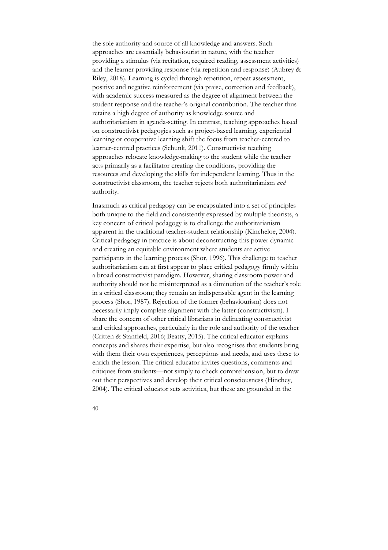the sole authority and source of all knowledge and answers. Such approaches are essentially behaviourist in nature, with the teacher providing a stimulus (via recitation, required reading, assessment activities) and the learner providing response (via repetition and response) (Aubrey & Riley, 2018). Learning is cycled through repetition, repeat assessment, positive and negative reinforcement (via praise, correction and feedback), with academic success measured as the degree of alignment between the student response and the teacher's original contribution. The teacher thus retains a high degree of authority as knowledge source and authoritarianism in agenda-setting. In contrast, teaching approaches based on constructivist pedagogies such as project-based learning, experiential learning or cooperative learning shift the focus from teacher-centred to learner-centred practices (Schunk, 2011). Constructivist teaching approaches relocate knowledge-making to the student while the teacher acts primarily as a facilitator creating the conditions, providing the resources and developing the skills for independent learning. Thus in the constructivist classroom, the teacher rejects both authoritarianism *and* authority.

Inasmuch as critical pedagogy can be encapsulated into a set of principles both unique to the field and consistently expressed by multiple theorists, a key concern of critical pedagogy is to challenge the authoritarianism apparent in the traditional teacher-student relationship (Kincheloe, 2004). Critical pedagogy in practice is about deconstructing this power dynamic and creating an equitable environment where students are active participants in the learning process (Shor, 1996). This challenge to teacher authoritarianism can at first appear to place critical pedagogy firmly within a broad constructivist paradigm. However, sharing classroom power and authority should not be misinterpreted as a diminution of the teacher's role in a critical classroom; they remain an indispensable agent in the learning process (Shor, 1987). Rejection of the former (behaviourism) does not necessarily imply complete alignment with the latter (constructivism). I share the concern of other critical librarians in delineating constructivist and critical approaches, particularly in the role and authority of the teacher (Critten & Stanfield, 2016; Beatty, 2015). The critical educator explains concepts and shares their expertise, but also recognises that students bring with them their own experiences, perceptions and needs, and uses these to enrich the lesson. The critical educator invites questions, comments and critiques from students—not simply to check comprehension, but to draw out their perspectives and develop their critical consciousness (Hinchey, 2004). The critical educator sets activities, but these are grounded in the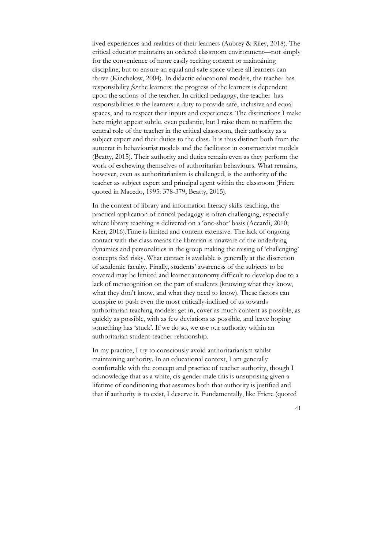lived experiences and realities of their learners (Aubrey & Riley, 2018). The critical educator maintains an ordered classroom environment—not simply for the convenience of more easily reciting content or maintaining discipline, but to ensure an equal and safe space where all learners can thrive (Kinchelow, 2004). In didactic educational models, the teacher has responsibility *for* the learners: the progress of the learners is dependent upon the actions of the teacher. In critical pedagogy, the teacher has responsibilities *to* the learners: a duty to provide safe, inclusive and equal spaces, and to respect their inputs and experiences. The distinctions I make here might appear subtle, even pedantic, but I raise them to reaffirm the central role of the teacher in the critical classroom, their authority as a subject expert and their duties to the class. It is thus distinct both from the autocrat in behaviourist models and the facilitator in constructivist models (Beatty, 2015). Their authority and duties remain even as they perform the work of eschewing themselves of authoritarian behaviours. What remains, however, even as authoritarianism is challenged, is the authority of the teacher as subject expert and principal agent within the classroom (Friere quoted in Macedo, 1995: 378-379; Beatty, 2015).

In the context of library and information literacy skills teaching, the practical application of critical pedagogy is often challenging, especially where library teaching is delivered on a 'one-shot' basis (Accardi, 2010; Keer, 2016).Time is limited and content extensive. The lack of ongoing contact with the class means the librarian is unaware of the underlying dynamics and personalities in the group making the raising of 'challenging' concepts feel risky. What contact is available is generally at the discretion of academic faculty. Finally, students' awareness of the subjects to be covered may be limited and learner autonomy difficult to develop due to a lack of metacognition on the part of students (knowing what they know, what they don't know, and what they need to know). These factors can conspire to push even the most critically-inclined of us towards authoritarian teaching models: get in, cover as much content as possible, as quickly as possible, with as few deviations as possible, and leave hoping something has 'stuck'. If we do so, we use our authority within an authoritarian student-teacher relationship.

In my practice, I try to consciously avoid authoritarianism whilst maintaining authority. In an educational context, I am generally comfortable with the concept and practice of teacher authority, though I acknowledge that as a white, cis-gender male this is unsuprising given a lifetime of conditioning that assumes both that authority is justified and that if authority is to exist, I deserve it. Fundamentally, like Friere (quoted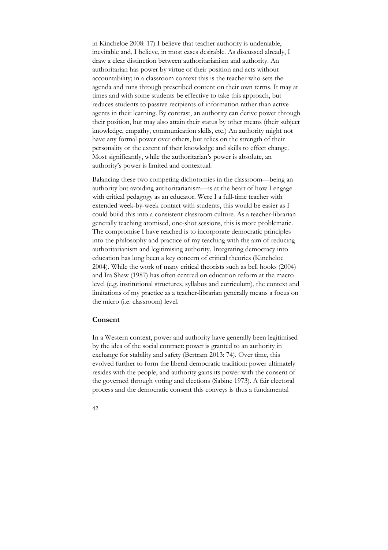in Kincheloe 2008: 17) I believe that teacher authority is undeniable, inevitable and, I believe, in most cases desirable. As discussed already, I draw a clear distinction between authoritarianism and authority. An authoritarian has power by virtue of their position and acts without accountability; in a classroom context this is the teacher who sets the agenda and runs through prescribed content on their own terms. It may at times and with some students be effective to take this approach, but reduces students to passive recipients of information rather than active agents in their learning. By contrast, an authority can derive power through their position, but may also attain their status by other means (their subject knowledge, empathy, communication skills, etc.) An authority might not have any formal power over others, but relies on the strength of their personality or the extent of their knowledge and skills to effect change. Most significantly, while the authoritarian's power is absolute, an authority's power is limited and contextual.

Balancing these two competing dichotomies in the classroom—being an authority but avoiding authoritarianism—is at the heart of how I engage with critical pedagogy as an educator. Were I a full-time teacher with extended week-by-week contact with students, this would be easier as I could build this into a consistent classroom culture. As a teacher-librarian generally teaching atomised, one-shot sessions, this is more problematic. The compromise I have reached is to incorporate democratic principles into the philosophy and practice of my teaching with the aim of reducing authoritarianism and legitimising authority. Integrating democracy into education has long been a key concern of critical theories (Kincheloe 2004). While the work of many critical theorists such as bell hooks (2004) and Ira Shaw (1987) has often centred on education reform at the macro level (e.g. institutional structures, syllabus and curriculum), the context and limitations of my practice as a teacher-librarian generally means a focus on the micro (i.e. classroom) level.

### **Consent**

In a Western context, power and authority have generally been legitimised by the idea of the social contract: power is granted to an authority in exchange for stability and safety (Bertram 2013: 74). Over time, this evolved further to form the liberal democratic tradition: power ultimately resides with the people, and authority gains its power with the consent of the governed through voting and elections (Sabine 1973). A fair electoral process and the democratic consent this conveys is thus a fundamental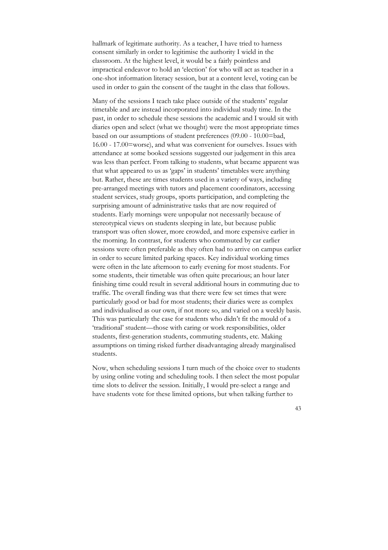hallmark of legitimate authority. As a teacher, I have tried to harness consent similarly in order to legitimise the authority I wield in the classroom. At the highest level, it would be a fairly pointless and impractical endeavor to hold an 'election' for who will act as teacher in a one-shot information literacy session, but at a content level, voting can be used in order to gain the consent of the taught in the class that follows.

Many of the sessions I teach take place outside of the students' regular timetable and are instead incorporated into individual study time. In the past, in order to schedule these sessions the academic and I would sit with diaries open and select (what we thought) were the most appropriate times based on our assumptions of student preferences (09.00 - 10.00=bad, 16.00 - 17.00=worse), and what was convenient for ourselves. Issues with attendance at some booked sessions suggested our judgement in this area was less than perfect. From talking to students, what became apparent was that what appeared to us as 'gaps' in students' timetables were anything but. Rather, these are times students used in a variety of ways, including pre-arranged meetings with tutors and placement coordinators, accessing student services, study groups, sports participation, and completing the surprising amount of administrative tasks that are now required of students. Early mornings were unpopular not necessarily because of stereotypical views on students sleeping in late, but because public transport was often slower, more crowded, and more expensive earlier in the morning. In contrast, for students who commuted by car earlier sessions were often preferable as they often had to arrive on campus earlier in order to secure limited parking spaces. Key individual working times were often in the late afternoon to early evening for most students. For some students, their timetable was often quite precarious; an hour later finishing time could result in several additional hours in commuting due to traffic. The overall finding was that there were few set times that were particularly good or bad for most students; their diaries were as complex and individualised as our own, if not more so, and varied on a weekly basis. This was particularly the case for students who didn't fit the mould of a 'traditional' student—those with caring or work responsibilities, older students, first-generation students, commuting students, etc. Making assumptions on timing risked further disadvantaging already marginalised students.

Now, when scheduling sessions I turn much of the choice over to students by using online voting and scheduling tools. I then select the most popular time slots to deliver the session. Initially, I would pre-select a range and have students vote for these limited options, but when talking further to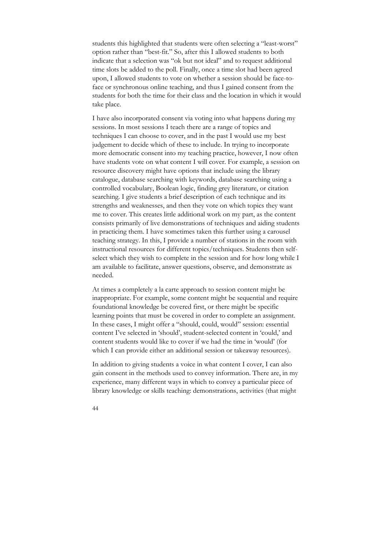students this highlighted that students were often selecting a "least-worst" option rather than "best-fit." So, after this I allowed students to both indicate that a selection was "ok but not ideal" and to request additional time slots be added to the poll. Finally, once a time slot had been agreed upon, I allowed students to vote on whether a session should be face-toface or synchronous online teaching, and thus I gained consent from the students for both the time for their class and the location in which it would take place.

I have also incorporated consent via voting into what happens during my sessions. In most sessions I teach there are a range of topics and techniques I can choose to cover, and in the past I would use my best judgement to decide which of these to include. In trying to incorporate more democratic consent into my teaching practice, however, I now often have students vote on what content I will cover. For example, a session on resource discovery might have options that include using the library catalogue, database searching with keywords, database searching using a controlled vocabulary, Boolean logic, finding grey literature, or citation searching. I give students a brief description of each technique and its strengths and weaknesses, and then they vote on which topics they want me to cover. This creates little additional work on my part, as the content consists primarily of live demonstrations of techniques and aiding students in practicing them. I have sometimes taken this further using a carousel teaching strategy. In this, I provide a number of stations in the room with instructional resources for different topics/techniques. Students then selfselect which they wish to complete in the session and for how long while I am available to facilitate, answer questions, observe, and demonstrate as needed.

At times a completely a la carte approach to session content might be inappropriate. For example, some content might be sequential and require foundational knowledge be covered first, or there might be specific learning points that must be covered in order to complete an assignment. In these cases, I might offer a "should, could, would" session: essential content I've selected in 'should', student-selected content in 'could,' and content students would like to cover if we had the time in 'would' (for which I can provide either an additional session or takeaway resources).

In addition to giving students a voice in what content I cover, I can also gain consent in the methods used to convey information. There are, in my experience, many different ways in which to convey a particular piece of library knowledge or skills teaching: demonstrations, activities (that might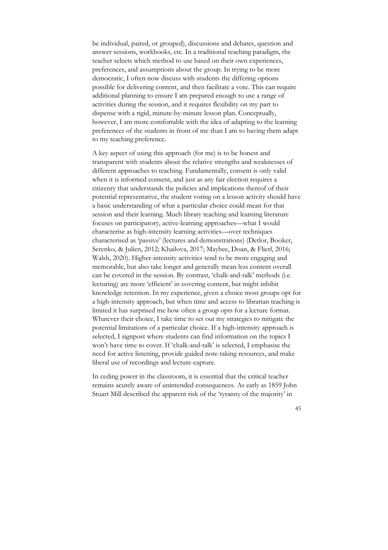be individual, paired, or grouped), discussions and debates, question and answer sessions, workbooks, etc. In a traditional teaching paradigm, the teacher selects which method to use based on their own experiences, preferences, and assumptions about the group. In trying to be more democratic, I often now discuss with students the differing options possible for delivering content, and then facilitate a vote. This can require additional planning to ensure I am prepared enough to use a range of activities during the session, and it requires flexibility on my part to dispense with a rigid, minute-by-minute lesson plan. Conceptually, however, I am more comfortable with the idea of adapting to the learning preferences of the students in front of me than I am to having them adapt to my teaching preference.

A key aspect of using this approach (for me) is to be honest and transparent with students about the relative strengths and weaknesses of different approaches to teaching. Fundamentally, consent is only valid when it is informed consent, and just as any fair election requires a citizenry that understands the policies and implications thereof of their potential representative, the student voting on a lesson activity should have a basic understanding of what a particular choice could mean for that session and their learning. Much library teaching and learning literature focuses on participatory, active-learning approaches—what I would characterise as high-intensity learning activities—over techniques characterised as 'passive' (lectures and demonstrations) (Detlor, Booker, Serenko, & Julien, 2012; Khailova, 2017; Maybee, Doan, & Flierl, 2016; Walsh, 2020). Higher-intensity activities tend to be more engaging and memorable, but also take longer and generally mean less content overall can be covered in the session. By contrast, 'chalk-and-talk' methods (i.e. lecturing) are more 'efficient' in covering content, but might inhibit knowledge retention. In my experience, given a choice most groups opt for a high-intensity approach, but when time and access to librarian teaching is limited it has surprised me how often a group opts for a lecture format. Whatever their choice, I take time to set out my strategies to mitigate the potential limitations of a particular choice. If a high-intensity approach is selected, I signpost where students can find information on the topics I won't have time to cover. If 'chalk-and-talk' is selected, I emphasise the need for active listening, provide guided note-taking resources, and make liberal use of recordings and lecture-capture.

In ceding power in the classroom, it is essential that the critical teacher remains acutely aware of unintended consequences. As early as 1859 John Stuart Mill described the apparent risk of the 'tyranny of the majority' in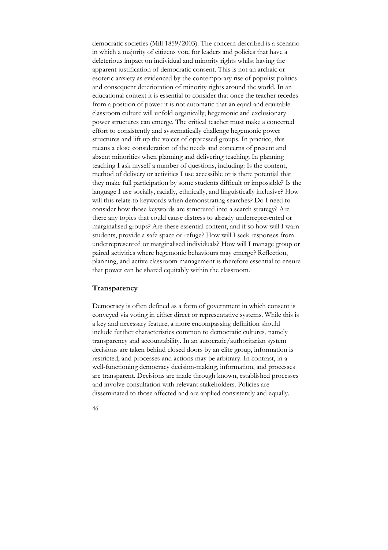democratic societies (Mill 1859/2003). The concern described is a scenario in which a majority of citizens vote for leaders and policies that have a deleterious impact on individual and minority rights whilst having the apparent justification of democratic consent. This is not an archaic or esoteric anxiety as evidenced by the contemporary rise of populist politics and consequent deterioration of minority rights around the world. In an educational context it is essential to consider that once the teacher recedes from a position of power it is not automatic that an equal and equitable classroom culture will unfold organically; hegemonic and exclusionary power structures can emerge. The critical teacher must make a concerted effort to consistently and systematically challenge hegemonic power structures and lift up the voices of oppressed groups. In practice, this means a close consideration of the needs and concerns of present and absent minorities when planning and delivering teaching. In planning teaching I ask myself a number of questions, including: Is the content, method of delivery or activities I use accessible or is there potential that they make full participation by some students difficult or impossible? Is the language I use socially, racially, ethnically, and linguistically inclusive? How will this relate to keywords when demonstrating searches? Do I need to consider how those keywords are structured into a search strategy? Are there any topics that could cause distress to already underrepresented or marginalised groups? Are these essential content, and if so how will I warn students, provide a safe space or refuge? How will I seek responses from underrepresented or marginalised individuals? How will I manage group or paired activities where hegemonic behaviours may emerge? Reflection, planning, and active classroom management is therefore essential to ensure that power can be shared equitably within the classroom.

## **Transparency**

Democracy is often defined as a form of government in which consent is conveyed via voting in either direct or representative systems. While this is a key and necessary feature, a more encompassing definition should include further characteristics common to democratic cultures, namely transparency and accountability. In an autocratic/authoritarian system decisions are taken behind closed doors by an elite group, information is restricted, and processes and actions may be arbitrary. In contrast, in a well-functioning democracy decision-making, information, and processes are transparent. Decisions are made through known, established processes and involve consultation with relevant stakeholders. Policies are disseminated to those affected and are applied consistently and equally.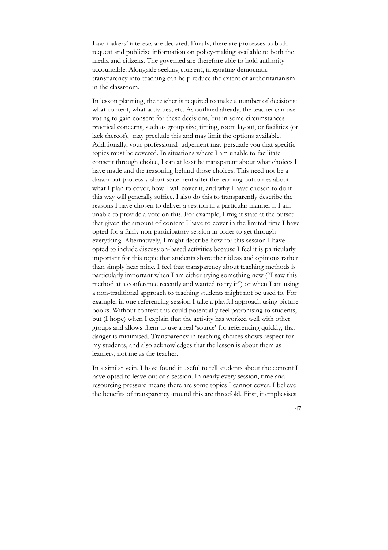Law-makers' interests are declared. Finally, there are processes to both request and publicise information on policy-making available to both the media and citizens. The governed are therefore able to hold authority accountable. Alongside seeking consent, integrating democratic transparency into teaching can help reduce the extent of authoritarianism in the classroom.

In lesson planning, the teacher is required to make a number of decisions: what content, what activities, etc. As outlined already, the teacher can use voting to gain consent for these decisions, but in some circumstances practical concerns, such as group size, timing, room layout, or facilities (or lack thereof), may preclude this and may limit the options available. Additionally, your professional judgement may persuade you that specific topics must be covered. In situations where I am unable to facilitate consent through choice, I can at least be transparent about what choices I have made and the reasoning behind those choices. This need not be a drawn out process-a short statement after the learning outcomes about what I plan to cover, how I will cover it, and why I have chosen to do it this way will generally suffice. I also do this to transparently describe the reasons I have chosen to deliver a session in a particular manner if I am unable to provide a vote on this. For example, I might state at the outset that given the amount of content I have to cover in the limited time I have opted for a fairly non-participatory session in order to get through everything. Alternatively, I might describe how for this session I have opted to include discussion-based activities because I feel it is particularly important for this topic that students share their ideas and opinions rather than simply hear mine. I feel that transparency about teaching methods is particularly important when I am either trying something new ("I saw this method at a conference recently and wanted to try it") or when I am using a non-traditional approach to teaching students might not be used to. For example, in one referencing session I take a playful approach using picture books. Without context this could potentially feel patronising to students, but (I hope) when I explain that the activity has worked well with other groups and allows them to use a real 'source' for referencing quickly, that danger is minimised. Transparency in teaching choices shows respect for my students, and also acknowledges that the lesson is about them as learners, not me as the teacher.

In a similar vein, I have found it useful to tell students about the content I have opted to leave out of a session. In nearly every session, time and resourcing pressure means there are some topics I cannot cover. I believe the benefits of transparency around this are threefold. First, it emphasises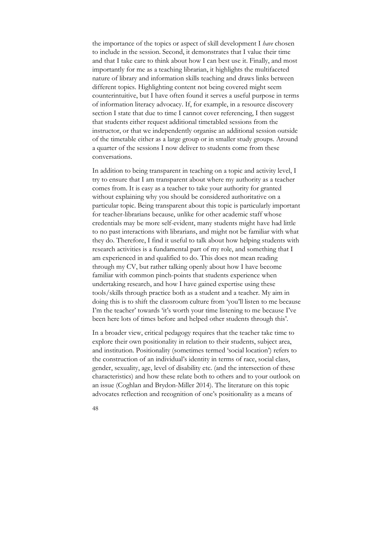the importance of the topics or aspect of skill development I *have* chosen to include in the session. Second, it demonstrates that I value their time and that I take care to think about how I can best use it. Finally, and most importantly for me as a teaching librarian, it highlights the multifaceted nature of library and information skills teaching and draws links between different topics. Highlighting content not being covered might seem counterintuitive, but I have often found it serves a useful purpose in terms of information literacy advocacy. If, for example, in a resource discovery section I state that due to time I cannot cover referencing, I then suggest that students either request additional timetabled sessions from the instructor, or that we independently organise an additional session outside of the timetable either as a large group or in smaller study groups. Around a quarter of the sessions I now deliver to students come from these conversations.

In addition to being transparent in teaching on a topic and activity level, I try to ensure that I am transparent about where my authority as a teacher comes from. It is easy as a teacher to take your authority for granted without explaining why you should be considered authoritative on a particular topic. Being transparent about this topic is particularly important for teacher-librarians because, unlike for other academic staff whose credentials may be more self-evident, many students might have had little to no past interactions with librarians, and might not be familiar with what they do. Therefore, I find it useful to talk about how helping students with research activities is a fundamental part of my role, and something that I am experienced in and qualified to do. This does not mean reading through my CV, but rather talking openly about how I have become familiar with common pinch-points that students experience when undertaking research, and how I have gained expertise using these tools/skills through practice both as a student and a teacher. My aim in doing this is to shift the classroom culture from 'you'll listen to me because I'm the teacher' towards 'it's worth your time listening to me because I've been here lots of times before and helped other students through this'.

In a broader view, critical pedagogy requires that the teacher take time to explore their own positionality in relation to their students, subject area, and institution. Positionality (sometimes termed 'social location') refers to the construction of an individual's identity in terms of race, social class, gender, sexuality, age, level of disability etc. (and the intersection of these characteristics) and how these relate both to others and to your outlook on an issue (Coghlan and Brydon-Miller 2014). The literature on this topic advocates reflection and recognition of one's positionality as a means of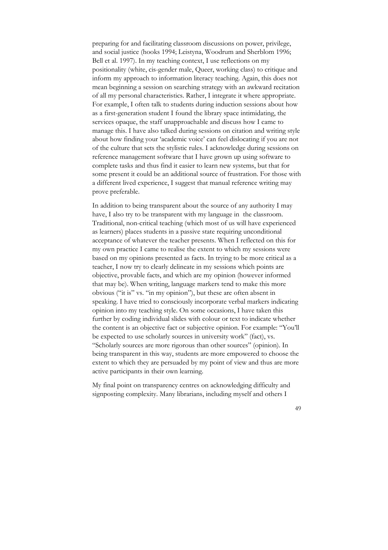preparing for and facilitating classroom discussions on power, privilege, and social justice (hooks 1994; Leistyna, Woodrum and Sherblom 1996; Bell et al. 1997). In my teaching context, I use reflections on my positionality (white, cis-gender male, Queer, working class) to critique and inform my approach to information literacy teaching. Again, this does not mean beginning a session on searching strategy with an awkward recitation of all my personal characteristics. Rather, I integrate it where appropriate. For example, I often talk to students during induction sessions about how as a first-generation student I found the library space intimidating, the services opaque, the staff unapproachable and discuss how I came to manage this. I have also talked during sessions on citation and writing style about how finding your 'academic voice' can feel dislocating if you are not of the culture that sets the stylistic rules. I acknowledge during sessions on reference management software that I have grown up using software to complete tasks and thus find it easier to learn new systems, but that for some present it could be an additional source of frustration. For those with a different lived experience, I suggest that manual reference writing may prove preferable.

In addition to being transparent about the source of any authority I may have, I also try to be transparent with my language in the classroom. Traditional, non-critical teaching (which most of us will have experienced as learners) places students in a passive state requiring unconditional acceptance of whatever the teacher presents. When I reflected on this for my own practice I came to realise the extent to which my sessions were based on my opinions presented as facts. In trying to be more critical as a teacher, I now try to clearly delineate in my sessions which points are objective, provable facts, and which are my opinion (however informed that may be). When writing, language markers tend to make this more obvious ("it is" vs. "in my opinion"), but these are often absent in speaking. I have tried to consciously incorporate verbal markers indicating opinion into my teaching style. On some occasions, I have taken this further by coding individual slides with colour or text to indicate whether the content is an objective fact or subjective opinion. For example: "You'll be expected to use scholarly sources in university work" (fact), vs. "Scholarly sources are more rigorous than other sources" (opinion). In being transparent in this way, students are more empowered to choose the extent to which they are persuaded by my point of view and thus are more active participants in their own learning.

My final point on transparency centres on acknowledging difficulty and signposting complexity. Many librarians, including myself and others I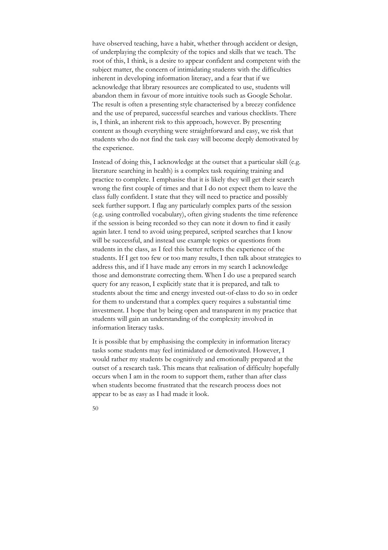have observed teaching, have a habit, whether through accident or design, of underplaying the complexity of the topics and skills that we teach. The root of this, I think, is a desire to appear confident and competent with the subject matter, the concern of intimidating students with the difficulties inherent in developing information literacy, and a fear that if we acknowledge that library resources are complicated to use, students will abandon them in favour of more intuitive tools such as Google Scholar. The result is often a presenting style characterised by a breezy confidence and the use of prepared, successful searches and various checklists. There is, I think, an inherent risk to this approach, however. By presenting content as though everything were straightforward and easy, we risk that students who do not find the task easy will become deeply demotivated by the experience.

Instead of doing this, I acknowledge at the outset that a particular skill (e.g. literature searching in health) is a complex task requiring training and practice to complete. I emphasise that it is likely they will get their search wrong the first couple of times and that I do not expect them to leave the class fully confident. I state that they will need to practice and possibly seek further support. I flag any particularly complex parts of the session (e.g. using controlled vocabulary), often giving students the time reference if the session is being recorded so they can note it down to find it easily again later. I tend to avoid using prepared, scripted searches that I know will be successful, and instead use example topics or questions from students in the class, as I feel this better reflects the experience of the students. If I get too few or too many results, I then talk about strategies to address this, and if I have made any errors in my search I acknowledge those and demonstrate correcting them. When I do use a prepared search query for any reason, I explicitly state that it is prepared, and talk to students about the time and energy invested out-of-class to do so in order for them to understand that a complex query requires a substantial time investment. I hope that by being open and transparent in my practice that students will gain an understanding of the complexity involved in information literacy tasks.

It is possible that by emphasising the complexity in information literacy tasks some students may feel intimidated or demotivated. However, I would rather my students be cognitively and emotionally prepared at the outset of a research task. This means that realisation of difficulty hopefully occurs when I am in the room to support them, rather than after class when students become frustrated that the research process does not appear to be as easy as I had made it look.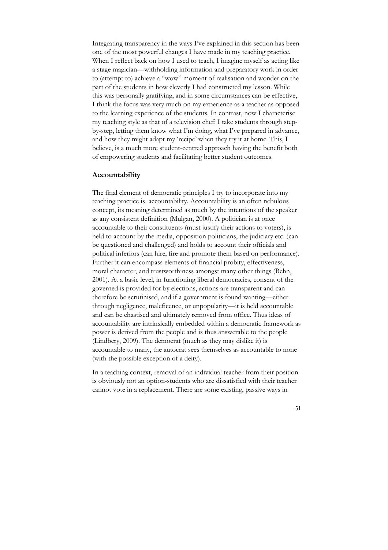Integrating transparency in the ways I've explained in this section has been one of the most powerful changes I have made in my teaching practice. When I reflect back on how I used to teach, I imagine myself as acting like a stage magician—withholding information and preparatory work in order to (attempt to) achieve a "wow" moment of realisation and wonder on the part of the students in how cleverly I had constructed my lesson. While this was personally gratifying, and in some circumstances can be effective, I think the focus was very much on my experience as a teacher as opposed to the learning experience of the students. In contrast, now I characterise my teaching style as that of a television chef: I take students through stepby-step, letting them know what I'm doing, what I've prepared in advance, and how they might adapt my 'recipe' when they try it at home. This, I believe, is a much more student-centred approach having the benefit both of empowering students and facilitating better student outcomes.

## **Accountability**

The final element of democratic principles I try to incorporate into my teaching practice is accountability. Accountability is an often nebulous concept, its meaning determined as much by the intentions of the speaker as any consistent definition (Mulgan, 2000). A politician is at once accountable to their constituents (must justify their actions to voters), is held to account by the media, opposition politicians, the judiciary etc. (can be questioned and challenged) and holds to account their officials and political inferiors (can hire, fire and promote them based on performance). Further it can encompass elements of financial probity, effectiveness, moral character, and trustworthiness amongst many other things (Behn, 2001). At a basic level, in functioning liberal democracies, consent of the governed is provided for by elections, actions are transparent and can therefore be scrutinised, and if a government is found wanting—either through negligence, maleficence, or unpopularity—it is held accountable and can be chastised and ultimately removed from office. Thus ideas of accountability are intrinsically embedded within a democratic framework as power is derived from the people and is thus answerable to the people (Lindbery, 2009). The democrat (much as they may dislike it) is accountable to many, the autocrat sees themselves as accountable to none (with the possible exception of a deity).

In a teaching context, removal of an individual teacher from their position is obviously not an option-students who are dissatisfied with their teacher cannot vote in a replacement. There are some existing, passive ways in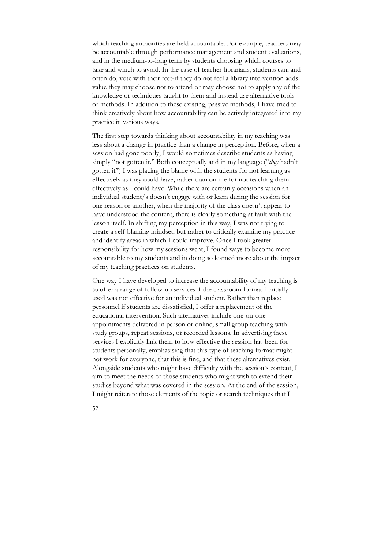which teaching authorities are held accountable. For example, teachers may be accountable through performance management and student evaluations, and in the medium-to-long term by students choosing which courses to take and which to avoid. In the case of teacher-librarians, students can, and often do, vote with their feet-if they do not feel a library intervention adds value they may choose not to attend or may choose not to apply any of the knowledge or techniques taught to them and instead use alternative tools or methods. In addition to these existing, passive methods, I have tried to think creatively about how accountability can be actively integrated into my practice in various ways.

The first step towards thinking about accountability in my teaching was less about a change in practice than a change in perception. Before, when a session had gone poorly, I would sometimes describe students as having simply "not gotten it." Both conceptually and in my language ("*they* hadn't gotten it") I was placing the blame with the students for not learning as effectively as they could have, rather than on me for not teaching them effectively as I could have. While there are certainly occasions when an individual student/s doesn't engage with or learn during the session for one reason or another, when the majority of the class doesn't appear to have understood the content, there is clearly something at fault with the lesson itself. In shifting my perception in this way, I was not trying to create a self-blaming mindset, but rather to critically examine my practice and identify areas in which I could improve. Once I took greater responsibility for how my sessions went, I found ways to become more accountable to my students and in doing so learned more about the impact of my teaching practices on students.

One way I have developed to increase the accountability of my teaching is to offer a range of follow-up services if the classroom format I initially used was not effective for an individual student. Rather than replace personnel if students are dissatisfied, I offer a replacement of the educational intervention. Such alternatives include one-on-one appointments delivered in person or online, small group teaching with study groups, repeat sessions, or recorded lessons. In advertising these services I explicitly link them to how effective the session has been for students personally, emphasising that this type of teaching format might not work for everyone, that this is fine, and that these alternatives exist. Alongside students who might have difficulty with the session's content, I aim to meet the needs of those students who might wish to extend their studies beyond what was covered in the session. At the end of the session, I might reiterate those elements of the topic or search techniques that I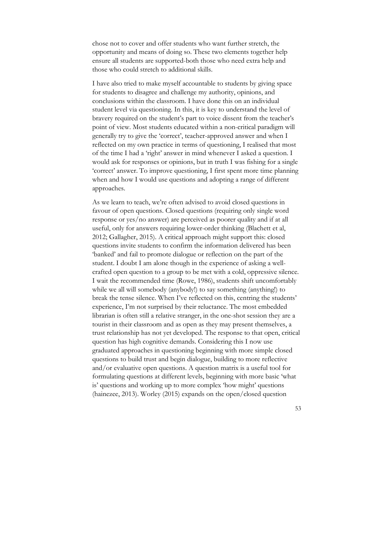chose not to cover and offer students who want further stretch, the opportunity and means of doing so. These two elements together help ensure all students are supported-both those who need extra help and those who could stretch to additional skills.

I have also tried to make myself accountable to students by giving space for students to disagree and challenge my authority, opinions, and conclusions within the classroom. I have done this on an individual student level via questioning. In this, it is key to understand the level of bravery required on the student's part to voice dissent from the teacher's point of view. Most students educated within a non-critical paradigm will generally try to give the 'correct', teacher-approved answer and when I reflected on my own practice in terms of questioning, I realised that most of the time I had a 'right' answer in mind whenever I asked a question. I would ask for responses or opinions, but in truth I was fishing for a single 'correct' answer. To improve questioning, I first spent more time planning when and how I would use questions and adopting a range of different approaches.

As we learn to teach, we're often advised to avoid closed questions in favour of open questions. Closed questions (requiring only single word response or yes/no answer) are perceived as poorer quality and if at all useful, only for answers requiring lower-order thinking (Blachett et al, 2012; Gallagher, 2015). A critical approach might support this: closed questions invite students to confirm the information delivered has been 'banked' and fail to promote dialogue or reflection on the part of the student. I doubt I am alone though in the experience of asking a wellcrafted open question to a group to be met with a cold, oppressive silence. I wait the recommended time (Rowe, 1986), students shift uncomfortably while we all will somebody (anybody!) to say something (anything!) to break the tense silence. When I've reflected on this, centring the students' experience, I'm not surprised by their reluctance. The most embedded librarian is often still a relative stranger, in the one-shot session they are a tourist in their classroom and as open as they may present themselves, a trust relationship has not yet developed. The response to that open, critical question has high cognitive demands. Considering this I now use graduated approaches in questioning beginning with more simple closed questions to build trust and begin dialogue, building to more reflective and/or evaluative open questions. A question matrix is a useful tool for formulating questions at different levels, beginning with more basic 'what is' questions and working up to more complex 'how might' questions (hainezee, 2013). Worley (2015) expands on the open/closed question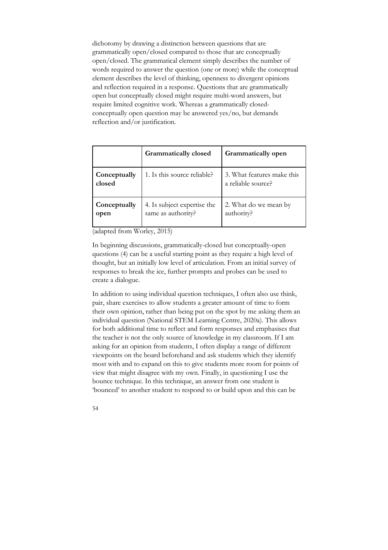dichotomy by drawing a distinction between questions that are grammatically open/closed compared to those that are conceptually open/closed. The grammatical element simply describes the number of words required to answer the question (one or more) while the conceptual element describes the level of thinking, openness to divergent opinions and reflection required in a response. Questions that are grammatically open but conceptually closed might require multi-word answers, but require limited cognitive work. Whereas a grammatically closedconceptually open question may be answered yes/no, but demands reflection and/or justification.

|                        | <b>Grammatically closed</b>                       | <b>Grammatically open</b>                        |
|------------------------|---------------------------------------------------|--------------------------------------------------|
| Conceptually<br>closed | 1. Is this source reliable?                       | 3. What features make this<br>a reliable source? |
| Conceptually<br>open   | 4. Is subject expertise the<br>same as authority? | 2. What do we mean by<br>authority?              |

(adapted from Worley, 2015)

In beginning discussions, grammatically-closed but conceptually-open questions (4) can be a useful starting point as they require a high level of thought, but an initially low level of articulation. From an initial survey of responses to break the ice, further prompts and probes can be used to create a dialogue.

In addition to using individual question techniques, I often also use think, pair, share exercises to allow students a greater amount of time to form their own opinion, rather than being put on the spot by me asking them an individual question (National STEM Learning Centre, 2020a). This allows for both additional time to reflect and form responses and emphasises that the teacher is not the only source of knowledge in my classroom. If I am asking for an opinion from students, I often display a range of different viewpoints on the board beforehand and ask students which they identify most with and to expand on this to give students more room for points of view that might disagree with my own. Finally, in questioning I use the bounce technique. In this technique, an answer from one student is 'bounced' to another student to respond to or build upon and this can be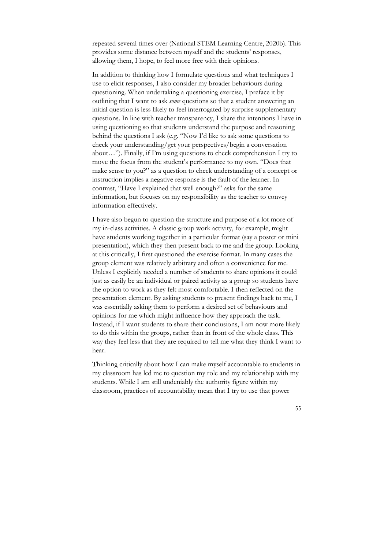repeated several times over (National STEM Learning Centre, 2020b). This provides some distance between myself and the students' responses, allowing them, I hope, to feel more free with their opinions.

In addition to thinking how I formulate questions and what techniques I use to elicit responses, I also consider my broader behaviours during questioning. When undertaking a questioning exercise, I preface it by outlining that I want to ask *some* questions so that a student answering an initial question is less likely to feel interrogated by surprise supplementary questions. In line with teacher transparency, I share the intentions I have in using questioning so that students understand the purpose and reasoning behind the questions I ask (e.g. "Now I'd like to ask some questions to check your understanding/get your perspectives/begin a conversation about…"). Finally, if I'm using questions to check comprehension I try to move the focus from the student's performance to my own. "Does that make sense to you?" as a question to check understanding of a concept or instruction implies a negative response is the fault of the learner. In contrast, "Have I explained that well enough?" asks for the same information, but focuses on my responsibility as the teacher to convey information effectively.

I have also begun to question the structure and purpose of a lot more of my in-class activities. A classic group work activity, for example, might have students working together in a particular format (say a poster or mini presentation), which they then present back to me and the group. Looking at this critically, I first questioned the exercise format. In many cases the group element was relatively arbitrary and often a convenience for me. Unless I explicitly needed a number of students to share opinions it could just as easily be an individual or paired activity as a group so students have the option to work as they felt most comfortable. I then reflected on the presentation element. By asking students to present findings back to me, I was essentially asking them to perform a desired set of behaviours and opinions for me which might influence how they approach the task. Instead, if I want students to share their conclusions, I am now more likely to do this within the groups, rather than in front of the whole class. This way they feel less that they are required to tell me what they think I want to hear.

Thinking critically about how I can make myself accountable to students in my classroom has led me to question my role and my relationship with my students. While I am still undeniably the authority figure within my classroom, practices of accountability mean that I try to use that power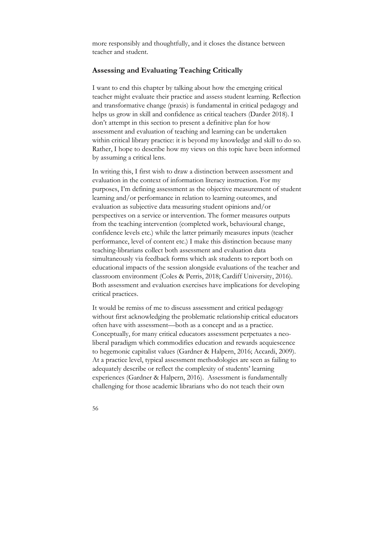more responsibly and thoughtfully, and it closes the distance between teacher and student.

## **Assessing and Evaluating Teaching Critically**

I want to end this chapter by talking about how the emerging critical teacher might evaluate their practice and assess student learning. Reflection and transformative change (praxis) is fundamental in critical pedagogy and helps us grow in skill and confidence as critical teachers (Darder 2018). I don't attempt in this section to present a definitive plan for how assessment and evaluation of teaching and learning can be undertaken within critical library practice: it is beyond my knowledge and skill to do so. Rather, I hope to describe how my views on this topic have been informed by assuming a critical lens.

In writing this, I first wish to draw a distinction between assessment and evaluation in the context of information literacy instruction. For my purposes, I'm defining assessment as the objective measurement of student learning and/or performance in relation to learning outcomes, and evaluation as subjective data measuring student opinions and/or perspectives on a service or intervention. The former measures outputs from the teaching intervention (completed work, behavioural change, confidence levels etc.) while the latter primarily measures inputs (teacher performance, level of content etc.) I make this distinction because many teaching-librarians collect both assessment and evaluation data simultaneously via feedback forms which ask students to report both on educational impacts of the session alongside evaluations of the teacher and classroom environment (Coles & Perris, 2018; Cardiff University, 2016). Both assessment and evaluation exercises have implications for developing critical practices.

It would be remiss of me to discuss assessment and critical pedagogy without first acknowledging the problematic relationship critical educators often have with assessment—both as a concept and as a practice. Conceptually, for many critical educators assessment perpetuates a neoliberal paradigm which commodifies education and rewards acquiescence to hegemonic capitalist values (Gardner & Halpern, 2016; Accardi, 2009). At a practice level, typical assessment methodologies are seen as failing to adequately describe or reflect the complexity of students' learning experiences (Gardner & Halpern, 2016). Assessment is fundamentally challenging for those academic librarians who do not teach their own

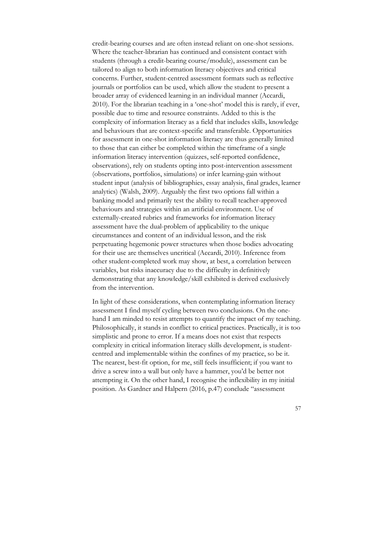credit-bearing courses and are often instead reliant on one-shot sessions. Where the teacher-librarian has continued and consistent contact with students (through a credit-bearing course/module), assessment can be tailored to align to both information literacy objectives and critical concerns. Further, student-centred assessment formats such as reflective journals or portfolios can be used, which allow the student to present a broader array of evidenced learning in an individual manner (Accardi, 2010). For the librarian teaching in a 'one-shot' model this is rarely, if ever, possible due to time and resource constraints. Added to this is the complexity of information literacy as a field that includes skills, knowledge and behaviours that are context-specific and transferable. Opportunities for assessment in one-shot information literacy are thus generally limited to those that can either be completed within the timeframe of a single information literacy intervention (quizzes, self-reported confidence, observations), rely on students opting into post-intervention assessment (observations, portfolios, simulations) or infer learning-gain without student input (analysis of bibliographies, essay analysis, final grades, learner analytics) (Walsh, 2009). Arguably the first two options fall within a banking model and primarily test the ability to recall teacher-approved behaviours and strategies within an artificial environment. Use of externally-created rubrics and frameworks for information literacy assessment have the dual-problem of applicability to the unique circumstances and content of an individual lesson, and the risk perpetuating hegemonic power structures when those bodies advocating for their use are themselves uncritical (Accardi, 2010). Inference from other student-completed work may show, at best, a correlation between variables, but risks inaccuracy due to the difficulty in definitively demonstrating that any knowledge/skill exhibited is derived exclusively from the intervention.

In light of these considerations, when contemplating information literacy assessment I find myself cycling between two conclusions. On the onehand I am minded to resist attempts to quantify the impact of my teaching. Philosophically, it stands in conflict to critical practices. Practically, it is too simplistic and prone to error. If a means does not exist that respects complexity in critical information literacy skills development, is studentcentred and implementable within the confines of my practice, so be it. The nearest, best-fit option, for me, still feels insufficient; if you want to drive a screw into a wall but only have a hammer, you'd be better not attempting it. On the other hand, I recognise the inflexibility in my initial position. As Gardner and Halpern (2016, p.47) conclude "assessment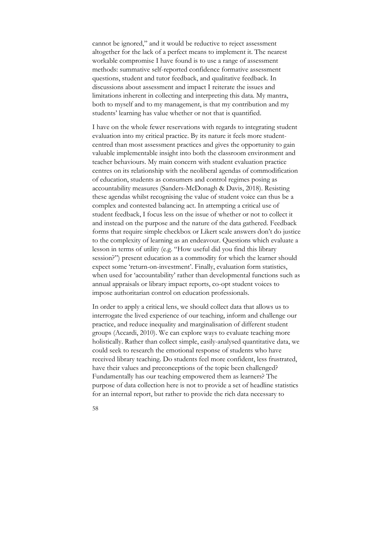cannot be ignored," and it would be reductive to reject assessment altogether for the lack of a perfect means to implement it. The nearest workable compromise I have found is to use a range of assessment methods: summative self-reported confidence formative assessment questions, student and tutor feedback, and qualitative feedback. In discussions about assessment and impact I reiterate the issues and limitations inherent in collecting and interpreting this data. My mantra, both to myself and to my management, is that my contribution and my students' learning has value whether or not that is quantified.

I have on the whole fewer reservations with regards to integrating student evaluation into my critical practice. By its nature it feels more studentcentred than most assessment practices and gives the opportunity to gain valuable implementable insight into both the classroom environment and teacher behaviours. My main concern with student evaluation practice centres on its relationship with the neoliberal agendas of commodification of education, students as consumers and control regimes posing as accountability measures (Sanders-McDonagh & Davis, 2018). Resisting these agendas whilst recognising the value of student voice can thus be a complex and contested balancing act. In attempting a critical use of student feedback, I focus less on the issue of whether or not to collect it and instead on the purpose and the nature of the data gathered. Feedback forms that require simple checkbox or Likert scale answers don't do justice to the complexity of learning as an endeavour. Questions which evaluate a lesson in terms of utility (e.g. "How useful did you find this library session?") present education as a commodity for which the learner should expect some 'return-on-investment'. Finally, evaluation form statistics, when used for 'accountability' rather than developmental functions such as annual appraisals or library impact reports, co-opt student voices to impose authoritarian control on education professionals.

In order to apply a critical lens, we should collect data that allows us to interrogate the lived experience of our teaching, inform and challenge our practice, and reduce inequality and marginalisation of different student groups (Accardi, 2010). We can explore ways to evaluate teaching more holistically. Rather than collect simple, easily-analysed quantitative data, we could seek to research the emotional response of students who have received library teaching. Do students feel more confident, less frustrated, have their values and preconceptions of the topic been challenged? Fundamentally has our teaching empowered them as learners? The purpose of data collection here is not to provide a set of headline statistics for an internal report, but rather to provide the rich data necessary to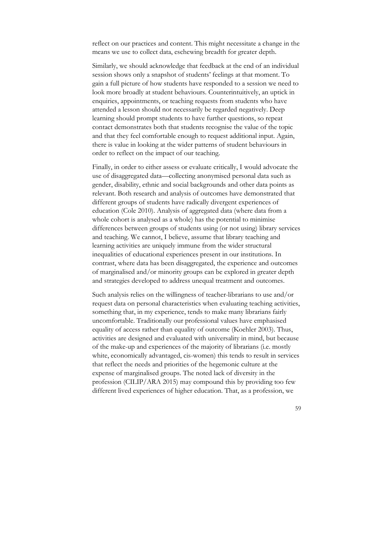reflect on our practices and content. This might necessitate a change in the means we use to collect data, eschewing breadth for greater depth.

Similarly, we should acknowledge that feedback at the end of an individual session shows only a snapshot of students' feelings at that moment. To gain a full picture of how students have responded to a session we need to look more broadly at student behaviours. Counterintuitively, an uptick in enquiries, appointments, or teaching requests from students who have attended a lesson should not necessarily be regarded negatively. Deep learning should prompt students to have further questions, so repeat contact demonstrates both that students recognise the value of the topic and that they feel comfortable enough to request additional input. Again, there is value in looking at the wider patterns of student behaviours in order to reflect on the impact of our teaching.

Finally, in order to either assess or evaluate critically, I would advocate the use of disaggregated data—collecting anonymised personal data such as gender, disability, ethnic and social backgrounds and other data points as relevant. Both research and analysis of outcomes have demonstrated that different groups of students have radically divergent experiences of education (Cole 2010). Analysis of aggregated data (where data from a whole cohort is analysed as a whole) has the potential to minimise differences between groups of students using (or not using) library services and teaching. We cannot, I believe, assume that library teaching and learning activities are uniquely immune from the wider structural inequalities of educational experiences present in our institutions. In contrast, where data has been disaggregated, the experience and outcomes of marginalised and/or minority groups can be explored in greater depth and strategies developed to address unequal treatment and outcomes.

Such analysis relies on the willingness of teacher-librarians to use and/or request data on personal characteristics when evaluating teaching activities, something that, in my experience, tends to make many librarians fairly uncomfortable. Traditionally our professional values have emphasised equality of access rather than equality of outcome (Koehler 2003). Thus, activities are designed and evaluated with universality in mind, but because of the make-up and experiences of the majority of librarians (i.e. mostly white, economically advantaged, cis-women) this tends to result in services that reflect the needs and priorities of the hegemonic culture at the expense of marginalised groups. The noted lack of diversity in the profession (CILIP/ARA 2015) may compound this by providing too few different lived experiences of higher education. That, as a profession, we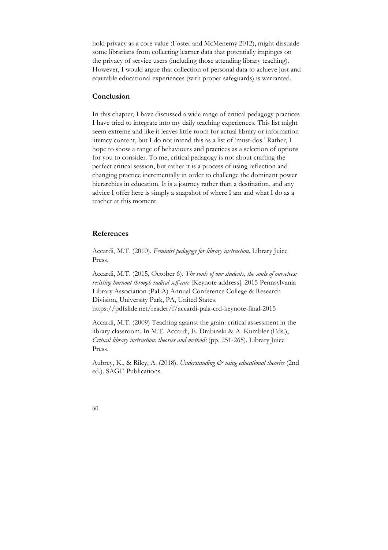hold privacy as a core value (Foster and McMenemy 2012), might dissuade some librarians from collecting learner data that potentially impinges on the privacy of service users (including those attending library teaching). However, I would argue that collection of personal data to achieve just and equitable educational experiences (with proper safeguards) is warranted.

## **Conclusion**

In this chapter, I have discussed a wide range of critical pedagogy practices I have tried to integrate into my daily teaching experiences. This list might seem extreme and like it leaves little room for actual library or information literacy content, but I do not intend this as a list of 'must-dos.' Rather, I hope to show a range of behaviours and practices as a selection of options for you to consider. To me, critical pedagogy is not about crafting the perfect critical session, but rather it is a process of using reflection and changing practice incrementally in order to challenge the dominant power hierarchies in education. It is a journey rather than a destination, and any advice I offer here is simply a snapshot of where I am and what I do as a teacher at this moment.

## **References**

Accardi, M.T. (2010). *Feminist pedagogy for library instruction*. Library Juice Press.

Accardi, M.T. (2015, October 6). *The souls of our students, the souls of ourselves: resisting burnout through radical self-care* [Keynote address]. 2015 Pennsylvania Library Association (PaLA) Annual Conference College & Research Division, University Park, PA, United States. https://pdfslide.net/reader/f/accardi-pala-crd-keynote-final-2015

Accardi, M.T. (2009) Teaching against the grain: critical assessment in the library classroom. In M.T. Accardi, E. Drabinski & A. Kumbler (Eds.), *Critical library instruction: theories and methods* (pp. 251-265). Library Juice Press.

Aubrey, K., & Riley, A. (2018). *Understanding*  $\mathcal{Q}^*$  *using educational theories* (2nd ed.). SAGE Publications.

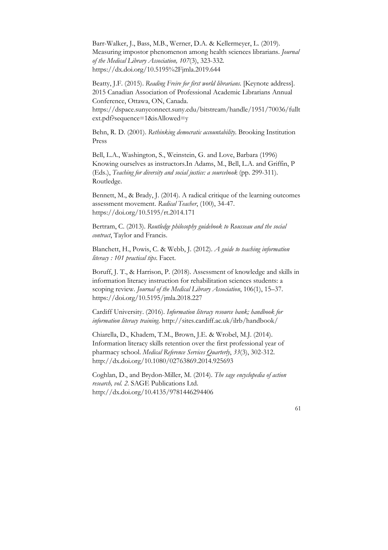Barr-Walker, J., Bass, M.B., Werner, D.A. & Kellermeyer, L. (2019). Measuring impostor phenomenon among health sciences librarians. *Journal of the Medical Library Association, 107*(3), 323-332. https://dx.doi.org/10.5195%2Fjmla.2019.644

Beatty, J.F. (2015). *Reading Freire for first world librarians*. [Keynote address]. 2015 Canadian Association of Professional Academic Librarians Annual Conference, Ottawa, ON, Canada. https://dspace.sunyconnect.suny.edu/bitstream/handle/1951/70036/fullt

ext.pdf?sequence=1&isAllowed=y

Behn, R. D. (2001). *Rethinking democratic accountability*. Brooking Institution Press

Bell, L.A., Washington, S., Weinstein, G. and Love, Barbara (1996) Knowing ourselves as instructors.In Adams, M., Bell, L.A. and Griffin, P (Eds.), *Teaching for diversity and social justice: a sourcebook* (pp. 299-311). Routledge.

Bennett, M., & Brady, J. (2014). A radical critique of the learning outcomes assessment movement. *Radical Teacher*, (100), 34-47. https://doi.org/10.5195/rt.2014.171

Bertram, C. (2013). *Routledge philosophy guidebook to Rousseau and the social contract*, Taylor and Francis.

Blanchett, H., Powis, C. & Webb, J. (2012). *A guide to teaching information literacy : 101 practical tips*. Facet.

Boruff, J. T., & Harrison, P. (2018). Assessment of knowledge and skills in information literacy instruction for rehabilitation sciences students: a scoping review. *Journal of the Medical Library Association*, 106(1), 15–37. https://doi.org/10.5195/jmla.2018.227

Cardiff University. (2016). *Information literacy resource bank; handbook for information literacy training*. http://sites.cardiff.ac.uk/ilrb/handbook/

Chiarella, D., Khadem, T.M., Brown, J.E. & Wrobel, M.J. (2014). Information literacy skills retention over the first professional year of pharmacy school. *Medical Reference Services Quarterly*, *33*(3), 302-312. http://dx.doi.org/10.1080/02763869.2014.925693

Coghlan, D., and Brydon-Miller, M. (2014). *The sage encyclopedia of action research, vol. 2*. SAGE Publications Ltd. http://dx.doi.org/10.4135/9781446294406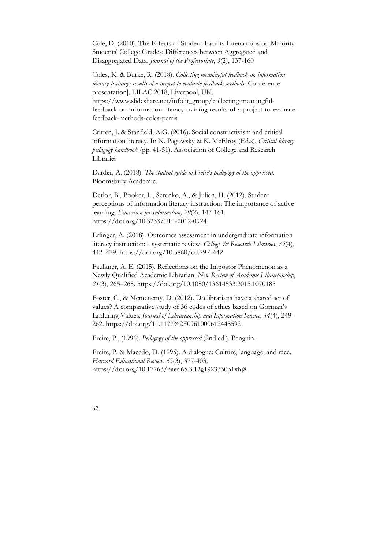Cole, D. (2010). The Effects of Student-Faculty Interactions on Minority Students' College Grades: Differences between Aggregated and Disaggregated Data. *Journal of the Professoriate*, *3*(2), 137-160

Coles, K. & Burke, R. (2018). *Collecting meaningful feedback on information literacy training: results of a project to evaluate feedback methods* [Conference presentation]. LILAC 2018, Liverpool, UK. https://www.slideshare.net/infolit\_group/collecting-meaningfulfeedback-on-information-literacy-training-results-of-a-project-to-evaluatefeedback-methods-coles-perris

Critten, J. & Stanfield, A.G. (2016). Social constructivism and critical information literacy. In N. Pagowsky & K. McElroy (Ed.s), *Critical library pedagogy handbook* (pp. 41-51). Association of College and Research Libraries

Darder, A. (2018). *The student guide to Freire's pedagogy of the oppressed*. Bloomsbury Academic.

Detlor, B., Booker, L., Serenko, A., & Julien, H. (2012). Student perceptions of information literacy instruction: The importance of active learning. *Education for Information, 29*(2), 147-161. https://doi.org/10.3233/EFI-2012-0924

Erlinger, A. (2018). Outcomes assessment in undergraduate information literacy instruction: a systematic review. *College & Research Libraries*, *79*(4), 442–479. https://doi.org/10.5860/crl.79.4.442

Faulkner, A. E. (2015). Reflections on the Impostor Phenomenon as a Newly Qualified Academic Librarian. *New Review of Academic Librarianship*, *21*(3), 265–268. https://doi.org/10.1080/13614533.2015.1070185

Foster, C., & Mcmenemy, D. (2012). Do librarians have a shared set of values? A comparative study of 36 codes of ethics based on Gorman's Enduring Values. *Journal of Librarianship and Information Science*, *44*(4), 249- 262. https://doi.org/10.1177%2F0961000612448592

Freire, P., (1996). *Pedagogy of the oppressed* (2nd ed.). Penguin.

Freire, P. & Macedo, D. (1995). A dialogue: Culture, language, and race. *Harvard Educational Review*, *65*(3), 377-403. https://doi.org/10.17763/haer.65.3.12g1923330p1xhj8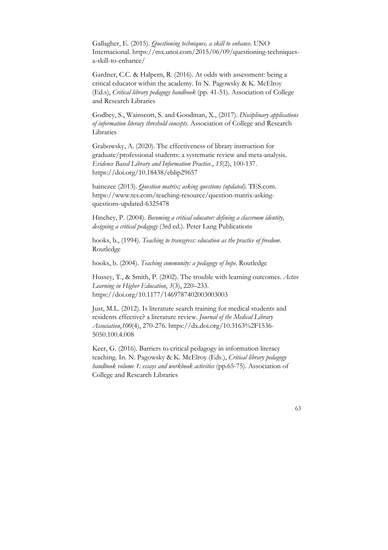Gallagher, E. (2015). *Questioning techniques, a skill to enhance*. UNO Internacional. https://mx.unoi.com/2015/06/09/questioning-techniquesa-skill-to-enhance/

Gardner, C.C. & Halpern, R. (2016). At odds with assessment: being a critical educator within the academy. In N. Pagowsky & K. McElroy (Ed.s), *Critical library pedagogy handbook* (pp. 41-51). Association of College and Research Libraries

Godbey, S., Wainscott, S. and Goodman, X., (2017). *Disciplinary applications of information literacy threshold concepts*. Association of College and Research Libraries

Grabowsky, A. (2020). The effectiveness of library instruction for graduate/professional students: a systematic review and meta-analysis. *Evidence Based Library and Information Practice*., *15*(2), 100-137. https://doi.org/10.18438/eblip29657

hainezee (2013). *Question matrix; asking questions (updated)*. TES.com. https://www.tes.com/teaching-resource/question-matrix-askingquestions-updated-6325478

Hinchey, P. (2004). *Becoming a critical educator: defining a classroom identity, designing a critical pedagogy* (3rd ed.). Peter Lang Publications

hooks, b., (1994). *Teaching to transgress: education as the practice of freedom*. Routledge

hooks, b. (2004). *Teaching community: a pedagogy of hope*. Routledge

Hussey, T., & Smith, P. (2002). The trouble with learning outcomes. *Active Learning in Higher Education*, *3*(3), 220–233. https://doi.org/10.1177/1469787402003003003

Just, M.L. (2012). Is literature search training for medical students and residents effective? a literature review. *Journal of the Medical Library Association*,*100*(4), 270-276. https://dx.doi.org/10.3163%2F1536- 5050.100.4.008

Keer, G. (2016). Barriers to critical pedagogy in information literacy teaching. In. N. Pagowsky & K. McElroy (Eds.), *Critical library pedagogy handbook volume 1: essays and workbook activities* (pp.65-75). Association of College and Research Libraries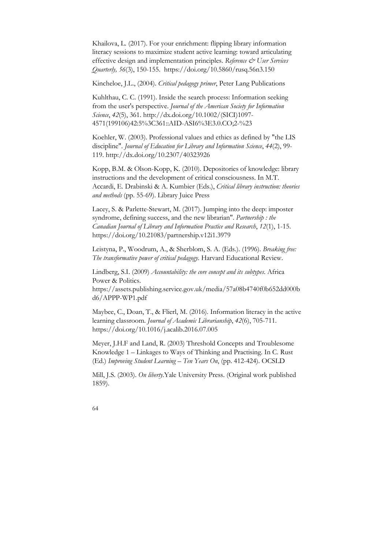Khailova, L. (2017). For your enrichment: flipping library information literacy sessions to maximize student active learning: toward articulating effective design and implementation principles. *Reference & User Services Quarterly, 56*(3), 150-155. https://doi.org/10.5860/rusq.56n3.150

Kincheloe, J.L., (2004). *Critical pedagogy primer*, Peter Lang Publications

Kuhlthau, C. C. (1991). Inside the search process: Information seeking from the user's perspective. *Journal of the American Society for Information Science*, *42*(5), 361. http://dx.doi.org/10.1002/(SICI)1097- 4571(199106)42:5%3C361::AID-ASI6%3E3.0.CO;2-%23

Koehler, W. (2003). Professional values and ethics as defined by "the LIS discipline". *Journal of Education for Library and Information Science*, *44*(2), 99- 119. http://dx.doi.org/10.2307/40323926

Kopp, B.M. & Olson-Kopp, K. (2010). Depositories of knowledge: library instructions and the development of critical consciousness. In M.T. Accardi, E. Drabinski & A. Kumbier (Eds.), *Critical library instruction: theories and methods* (pp. 55-69). Library Juice Press

Lacey, S. & Parlette-Stewart, M. (2017). Jumping into the deep: imposter syndrome, defining success, and the new librarian". *Partnership : the Canadian Journal of Library and Information Practice and Research*, *12*(1), 1-15. https://doi.org/10.21083/partnership.v12i1.3979

Leistyna, P., Woodrum, A., & Sherblom, S. A. (Eds.). (1996). *Breaking free: The transformative power of critical pedagogy*. Harvard Educational Review.

Lindberg, S.I. (2009) *Accountability: the core concept and its subtypes*. Africa Power & Politics.

https://assets.publishing.service.gov.uk/media/57a08b4740f0b652dd000b d6/APPP-WP1.pdf

Maybee, C., Doan, T., & Flierl, M. (2016). Information literacy in the active learning classroom. *Journal of Academic Librarianship*, *42*(6), 705-711. https://doi.org/10.1016/j.acalib.2016.07.005

Meyer, J.H.F and Land, R. (2003) Threshold Concepts and Troublesome Knowledge 1 – Linkages to Ways of Thinking and Practising. In C. Rust (Ed.) *Improving Student Learning – Ten Years On*, (pp. 412-424). OCSLD

Mill, J.S. (2003). *On liberty*.Yale University Press. (Original work published 1859).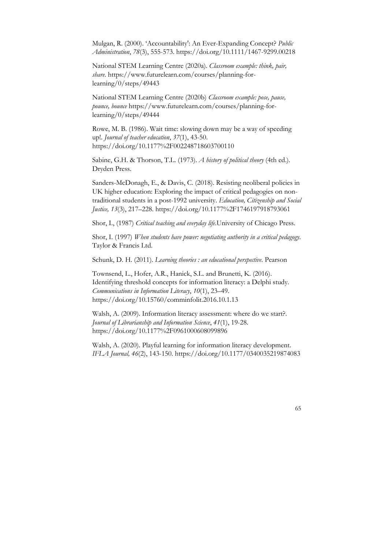Mulgan, R. (2000). 'Accountability': An Ever-Expanding Concept? *Public Administration*, *78*(3), 555-573. https://doi.org/10.1111/1467-9299.00218

National STEM Learning Centre (2020a). *Classroom example: think, pair, share*. https://www.futurelearn.com/courses/planning-forlearning/0/steps/49443

National STEM Learning Centre (2020b) *Classroom example: pose, pause, pounce, bounce* https://www.futurelearn.com/courses/planning-forlearning/0/steps/49444

Rowe, M. B. (1986). Wait time: slowing down may be a way of speeding up!. *Journal of teacher education*, *37*(1), 43-50. https://doi.org/10.1177%2F002248718603700110

Sabine, G.H. & Thorson, T.L. (1973). *A history of political theory* (4th ed.). Dryden Press.

Sanders-McDonagh, E., & Davis, C. (2018). Resisting neoliberal policies in UK higher education: Exploring the impact of critical pedagogies on nontraditional students in a post-1992 university. *Education, Citizenship and Social Justice, 13*(3), 217–228. https://doi.org/10.1177%2F1746197918793061

Shor, I., (1987) *Critical teaching and everyday life*.University of Chicago Press.

Shor, I. (1997) *When students have power: negotiating authority in a critical pedagogy*. Taylor & Francis Ltd.

Schunk, D. H. (2011). *Learning theories : an educational perspective*. Pearson

Townsend, L., Hofer, A.R., Hanick, S.L. and Brunetti, K. (2016). Identifying threshold concepts for information literacy: a Delphi study. *Communications in Information Literacy*, *10*(1), 23–49. https://doi.org/10.15760/comminfolit.2016.10.1.13

Walsh, A. (2009). Information literacy assessment: where do we start?. *Journal of Librarianship and Information Science*, *41*(1), 19-28. https://doi.org/10.1177%2F0961000608099896

Walsh, A. (2020). Playful learning for information literacy development. *IFLA Journal, 46*(2), 143-150. https://doi.org/10.1177/0340035219874083